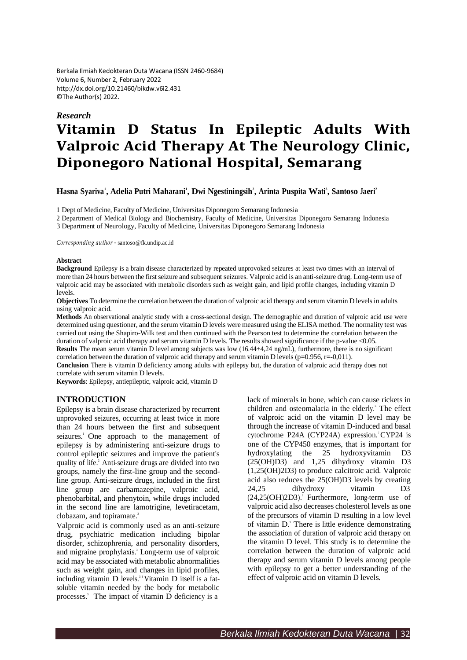Berkala Ilmiah Kedokteran Duta Wacana (ISSN 2460-9684) Volume 6, Number 2, February 2022 <http://dx.doi.org/10.21460/bikdw.v6i2.431> ©The Author(s) 2022.

# *Research* **Vitamin D Status In Epileptic Adults With Valproic Acid Therapy At The Neurology Clinic, Diponegoro National Hospital, Semarang**

Hasna Syariva<sup>1</sup>, Adelia Putri Maharani<sup>1</sup>, Dwi Ngestiningsih<sup>2</sup>, Arinta Puspita Wati<sup>3</sup>, Santoso Jaeri<sup>2</sup>

1 Dept of Medicine, Faculty of Medicine, Universitas Diponegoro Semarang Indonesia

2 Department of Medical Biology and Biochemistry, Faculty of Medicine, Universitas Diponegoro Semarang Indonesia 3 Department of Neurology, Faculty of Medicine, Universitas Diponegoro Semarang Indonesia

*Corresponding author* - [santoso@fk.undip.ac.id](mailto:santoso@fk.undip.ac.id)

#### **Abstract**

**Background** Epilepsy is a brain disease characterized by repeated unprovoked seizures at least two times with an interval of more than 24 hours between the first seizure and subsequent seizures. Valproic acid is an anti-seizure drug. Long-term use of valproic acid may be associated with metabolic disorders such as weight gain, and lipid profile changes, including vitamin D levels.

**Objectives** To determine the correlation between the duration of valproic acid therapy and serum vitamin D levels in adults using valproic acid.

**Methods** An observational analytic study with a cross-sectional design. The demographic and duration of valproic acid use were determined using questioner, and the serum vitamin D levels were measured using the ELISA method. The normality test was carried out using the Shapiro-Wilk test and then continued with the Pearson test to determine the correlation between the duration of valproic acid therapy and serum vitamin D levels. The results showed significance if the p-value <0.05. **Results** The mean serum vitamin D level among subjects was low (16.44+4,24 ng/mL), furthermore, there is no significant

correlation between the duration of valproic acid therapy and serum vitamin D levels ( $p=0.956$ ,  $r=-0.011$ ).

**Conclusion** There is vitamin D deficiency among adults with epilepsy but, the duration of valproic acid therapy does not correlate with serum vitamin D levels.

**Keywords**: Epilepsy, antiepileptic, valproic acid, vitamin D

#### **INTRODUCTION**

Epilepsy is a brain disease characterized by recurrent unprovoked seizures, occurring at least twice in more than 24 hours between the first and subsequent seizures.<sup>1</sup> One approach to the management of epilepsy is by administering anti-seizure drugs to control epileptic seizures and improve the patient's quality of life. <sup>2</sup>Anti-seizure drugs are divided into two groups, namely the first-line group and the secondline group. Anti-seizure drugs, included in the first line group are carbamazepine, valproic acid, phenobarbital, and phenytoin, while drugs included in the second line are lamotrigine, levetiracetam, clobazam, and topiramate. 2

Valproic acid is commonly used as an anti-seizure drug, psychiatric medication including bipolar disorder, schizophrenia, and personality disorders, and migraine prophylaxis. <sup>3</sup>Long-term use of valproic acid may be associated with metabolic abnormalities such as weight gain, and changes in lipid profiles, including vitamin D levels.<sup>3,4</sup> Vitamin D itself is a fatsoluble vitamin needed by the body for metabolic processes.<sup>5</sup> The impact of vitamin D deficiency is a

lack of minerals in bone, which can cause rickets in children and osteomalacia in the elderly.<sup>6</sup> The effect of valproic acid on the vitamin D level may be through the increase of vitamin D-induced and basal cytochrome P24A (CYP24A) expression. <sup>7</sup>CYP24 is one of the CYP450 enzymes, that is important for hydroxylating the 25 hydroxyvitamin D3  $(25(OH)D3)$  and 1,25 dihydroxy vitamin D3 (1,25(OH)2D3) to produce calcitroic acid. Valproic acid also reduces the 25(OH)D3 levels by creating 24,25 dihydroxy vitamin D3  $(24,25(OH)2D3).$ <sup>8</sup> Furthermore, long-term use of valproic acid also decreases cholesterol levels as one of the precursors of vitamin D resulting in a low level of vitamin D.<sup>9</sup> There is little evidence demonstrating the association of duration of valproic acid therapy on the vitamin D level. This study is to determine the correlation between the duration of valproic acid therapy and serum vitamin D levels among people with epilepsy to get a better understanding of the effect of valproic acid on vitamin D levels.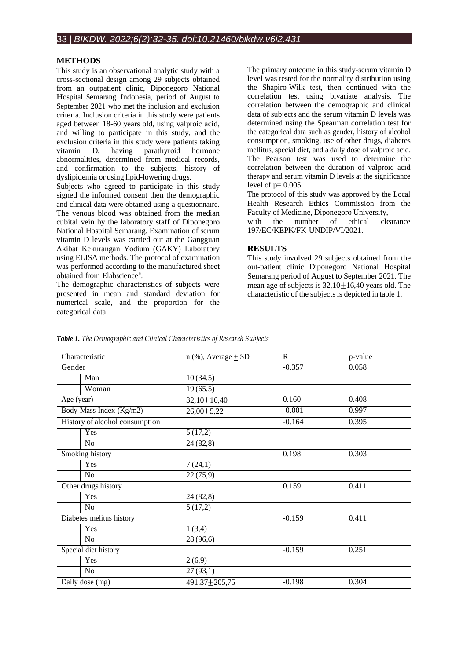#### **METHODS**

This study is an observational analytic study with a cross-sectional design among 29 subjects obtained from an outpatient clinic, Diponegoro National Hospital Semarang Indonesia, period of August to September 2021 who met the inclusion and exclusion criteria. Inclusion criteria in this study were patients aged between 18-60 years old, using valproic acid, and willing to participate in this study, and the exclusion criteria in this study were patients taking vitamin D, having parathyroid hormone abnormalities, determined from medical records, and confirmation to the subjects, history of dyslipidemia or using lipid-lowering drugs.

Subjects who agreed to participate in this study signed the informed consent then the demographic and clinical data were obtained using a questionnaire. The venous blood was obtained from the median cubital vein by the laboratory staff of Diponegoro National Hospital Semarang. Examination of serum vitamin D levels was carried out at the Gangguan Akibat Kekurangan Yodium (GAKY) Laboratory using ELISA methods. The protocol of examination was performed according to the manufactured sheet obtained from Elabscience ® .

The demographic characteristics of subjects were presented in mean and standard deviation for numerical scale, and the proportion for the categorical data.

The primary outcome in this study-serum vitamin D level was tested for the normality distribution using the Shapiro-Wilk test, then continued with the correlation test using bivariate analysis. The correlation between the demographic and clinical data of subjects and the serum vitamin D levels was determined using the Spearman correlation test for the categorical data such as gender, history of alcohol consumption, smoking, use of other drugs, diabetes mellitus, special diet, and a daily dose of valproic acid. The Pearson test was used to determine the correlation between the duration of valproic acid therapy and serum vitamin D levels at the significance level of  $p=0.005$ .

The protocol of this study was approved by the Local Health Research Ethics Commission from the Faculty of Medicine, Diponegoro University,

with the number of ethical clearance 197/EC/KEPK/FK-UNDIP/VI/2021.

#### **RESULTS**

This study involved 29 subjects obtained from the out-patient clinic Diponegoro National Hospital Semarang period of August to September 2021. The mean age of subjects is  $32,10 \pm 16,40$  years old. The characteristic of the subjects is depicted in table 1.

| Characteristic                 | $n$ (%), Average $\pm$ SD | $\mathbf{R}$ | p-value |
|--------------------------------|---------------------------|--------------|---------|
| Gender                         |                           | $-0.357$     | 0.058   |
| Man                            | 10(34,5)                  |              |         |
| Woman                          | 19(65,5)                  |              |         |
| Age (year)                     | $32,10 \pm 16,40$         | 0.160        | 0.408   |
| Body Mass Index (Kg/m2)        | $26,00 \pm 5,22$          | $-0.001$     | 0.997   |
| History of alcohol consumption |                           | $-0.164$     | 0.395   |
| Yes                            | 5(17,2)                   |              |         |
| No                             | 24(82,8)                  |              |         |
| Smoking history                |                           | 0.198        | 0.303   |
| Yes                            | 7(24,1)                   |              |         |
| No                             | 22(75,9)                  |              |         |
| Other drugs history            |                           | 0.159        | 0.411   |
| Yes                            | 24 (82,8)                 |              |         |
| No                             | 5(17,2)                   |              |         |
| Diabetes melitus history       |                           | $-0.159$     | 0.411   |
| Yes                            | 1(3,4)                    |              |         |
| No                             | 28 (96,6)                 |              |         |
| Special diet history           |                           | $-0.159$     | 0.251   |
| Yes                            | 2(6,9)                    |              |         |
| No                             | 27(93,1)                  |              |         |
| Daily dose (mg)                | 491,37±205,75             | $-0.198$     | 0.304   |

*Table 1. The Demographic and Clinical Characteristics of Research Subjects*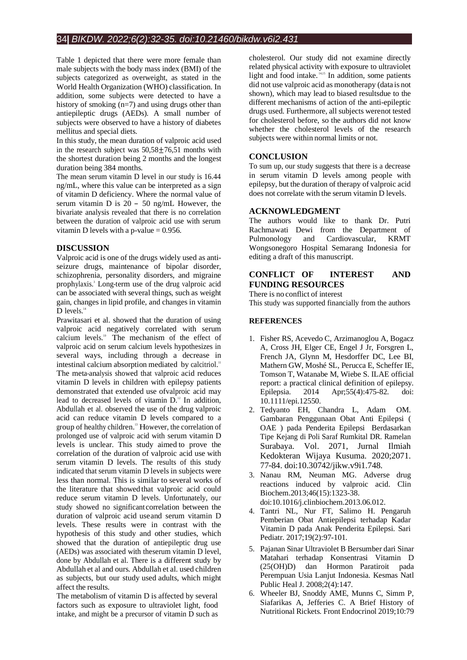# 34**|** *BIKDW. 2022;6(2):32-35. doi:10.21460/bikdw.v6i2.431*

Table 1 depicted that there were more female than male subjects with the body mass index (BMI) of the subjects categorized as overweight, as stated in the World Health Organization (WHO) classification. In addition, some subjects were detected to have a history of smoking (n=7) and using drugs other than antiepileptic drugs (AEDs). A small number of subjects were observed to have a history of diabetes mellitus and special diets.

In this study, the mean duration of valproic acid used in the research subject was  $50,58 \pm 76,51$  months with the shortest duration being 2 months and the longest duration being 384 months.

The mean serum vitamin D level in our study is 16.44 ng/mL, where this value can be interpreted as a sign of vitamin D deficiency. Where the normal value of serum vitamin D is 20 – 50 ng/mL However, the bivariate analysis revealed that there is no correlation between the duration of valproic acid use with serum vitamin D levels with a p-value  $= 0.956$ .

# **DISCUSSION**

Valproic acid is one of the drugs widely used as antiseizure drugs, maintenance of bipolar disorder, schizophrenia, personality disorders, and migraine prophylaxis. <sup>3</sup>Long-term use of the drug valproic acid can be associated with several things, such as weight gain, changes in lipid profile, and changes in vitamin D levels.<sup>14</sup>

Prawitasari et al. showed that the duration of using valproic acid negatively correlated with serum calcium levels. <sup>10</sup> The mechanism of the effect of valproic acid on serum calcium levels hypothesizes in several ways, including through a decrease in intestinal calcium absorption mediated by calcitriol.<sup>11</sup> The meta-analysis showed that valproic acid reduces vitamin D levels in children with epilepsy patients demonstrated that extended use ofvalproic acid may lead to decreased levels of vitamin  $D<sup>12</sup>$ . In addition, Abdullah et al. observed the use of the drug valproic acid can reduce vitamin D levels compared to a group of healthy children.<sup>13</sup> However, the correlation of prolonged use of valproic acid with serum vitamin D levels is unclear. This study aimed to prove the correlation of the duration of valproic acid use with serum vitamin D levels. The results of this study indicated that serum vitamin D levels in subjects were less than normal. This is similar to several works of the literature that showed that valproic acid could reduce serum vitamin D levels. Unfortunately, our study showed no significant correlation between the duration of valproic acid useand serum vitamin D levels. These results were in contrast with the hypothesis of this study and other studies, which showed that the duration of antiepileptic drug use (AEDs) was associated with theserum vitamin D level, done by Abdullah et al. There is a different study by Abdullah et al and ours. Abdullah et al. used children as subjects, but our study used adults, which might affect the results.

The metabolism of vitamin D is affected by several factors such as exposure to ultraviolet light, food intake, and might be a precursor of vitamin D such as cholesterol. Our study did not examine directly related physical activity with exposure to ultraviolet light and food intake. 14,15 In addition, some patients did not use valproic acid as monotherapy (data is not shown), which may lead to biased resultsdue to the different mechanisms of action of the anti-epileptic drugs used. Furthermore, all subjects werenot tested for cholesterol before, so the authors did not know whether the cholesterol levels of the research subjects were within normal limits or not.

# **CONCLUSION**

To sum up, our study suggests that there is a decrease in serum vitamin D levels among people with epilepsy, but the duration of therapy of valproic acid does not correlate with the serum vitamin D levels.

#### **ACKNOWLEDGMENT**

The authors would like to thank Dr. Putri Rachmawati Dewi from the Department of Pulmonology and Cardiovascular, KRMT Wongsonegoro Hospital Semarang Indonesia for editing a draft of this manuscript.

# **CONFLICT OF INTEREST AND FUNDING RESOURCES**

There is no conflict of interest

This study was supported financially from the authors

# **REFERENCES**

- 1. Fisher RS, Acevedo C, Arzimanoglou A, Bogacz A, Cross JH, Elger CE, Engel J Jr, Forsgren L, French JA, Glynn M, Hesdorffer DC, Lee BI, Mathern GW, Moshé SL, Perucca E, Scheffer IE, Tomson T, Watanabe M, Wiebe S. ILAE official report: a practical clinical definition of epilepsy. Epilepsia. 2014 Apr;55(4):475-82. doi: 10.1111/epi.12550.
- 2. Tedyanto EH, Chandra L, Adam OM. Gambaran Penggunaan Obat Anti Epilepsi ( OAE ) pada Penderita Epilepsi Berdasarkan Tipe Kejang di Poli Saraf Rumkital DR. Ramelan Surabaya. Vol. 2071, Jurnal Ilmiah Kedokteran Wijaya Kusuma. 2020;2071. 77–84. doi:10.30742/jikw.v9i1.748.
- 3. Nanau RM, Neuman MG. Adverse drug reactions induced by valproic acid. Clin Biochem.2013;46(15):1323-38.
- doi:10.1016/j.clinbiochem.2013.06.012. 4. Tantri NL, Nur FT, Salimo H. Pengaruh Pemberian Obat Antiepilepsi terhadap Kadar
- Vitamin D pada Anak Penderita Epilepsi. Sari Pediatr. 2017;19(2):97-101. 5. Pajanan Sinar Ultraviolet B Bersumber dari Sinar
- Matahari terhadap Konsentrasi Vitamin D (25(OH)D) dan Hormon Paratiroit pada Perempuan Usia Lanjut Indonesia. Kesmas Natl Public Heal J. 2008;2(4):147.
- 6. Wheeler BJ, Snoddy AME, Munns C, Simm P, Siafarikas A, Jefferies C. A Brief History of Nutritional Rickets. Front Endocrinol 2019;10:79